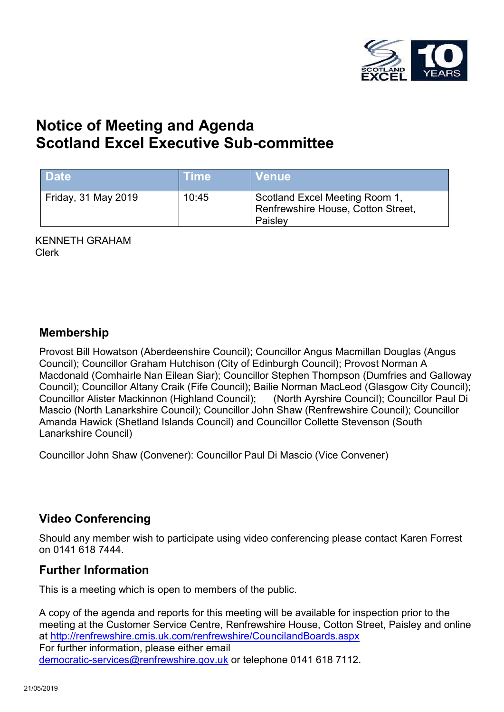

# **Notice of Meeting and Agenda Scotland Excel Executive Sub-committee**

| <b>Date</b>         | <b>Time</b> | <b>Venue</b>                                                                    |
|---------------------|-------------|---------------------------------------------------------------------------------|
| Friday, 31 May 2019 | 10:45       | Scotland Excel Meeting Room 1,<br>Renfrewshire House, Cotton Street,<br>Paisley |

KENNETH GRAHAM Clerk

### **Membership**

Provost Bill Howatson (Aberdeenshire Council); Councillor Angus Macmillan Douglas (Angus Council); Councillor Graham Hutchison (City of Edinburgh Council); Provost Norman A Macdonald (Comhairle Nan Eilean Siar); Councillor Stephen Thompson (Dumfries and Galloway Council); Councillor Altany Craik (Fife Council); Bailie Norman MacLeod (Glasgow City Council); Councillor Alister Mackinnon (Highland Council); (North Ayrshire Council); Councillor Paul Di Mascio (North Lanarkshire Council); Councillor John Shaw (Renfrewshire Council); Councillor Amanda Hawick (Shetland Islands Council) and Councillor Collette Stevenson (South Lanarkshire Council)

Councillor John Shaw (Convener): Councillor Paul Di Mascio (Vice Convener)

## **Video Conferencing**

Should any member wish to participate using video conferencing please contact Karen Forrest on 0141 618 7444.

## **Further Information**

This is a meeting which is open to members of the public.

A copy of the agenda and reports for this meeting will be available for inspection prior to the meeting at the Customer Service Centre, Renfrewshire House, Cotton Street, Paisley and online at <http://renfrewshire.cmis.uk.com/renfrewshire/CouncilandBoards.aspx> For further information, please either email [democratic-services@renfrewshire.gov.uk](mailto:democratic-services@renfrewshire.gov.uk) or telephone 0141 618 7112.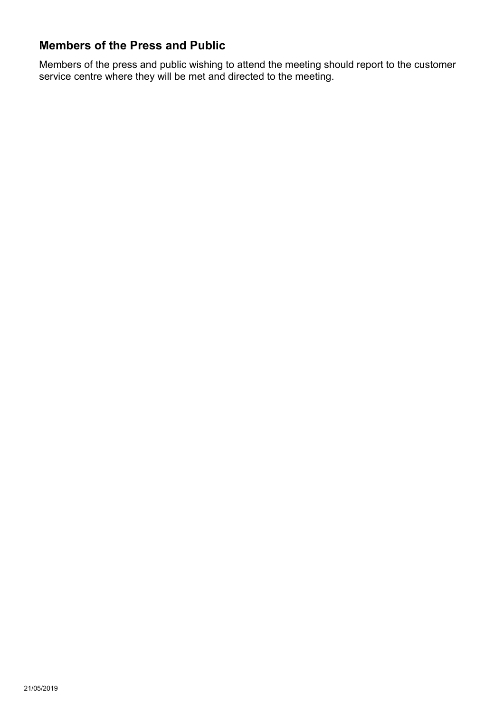## **Members of the Press and Public**

Members of the press and public wishing to attend the meeting should report to the customer service centre where they will be met and directed to the meeting.